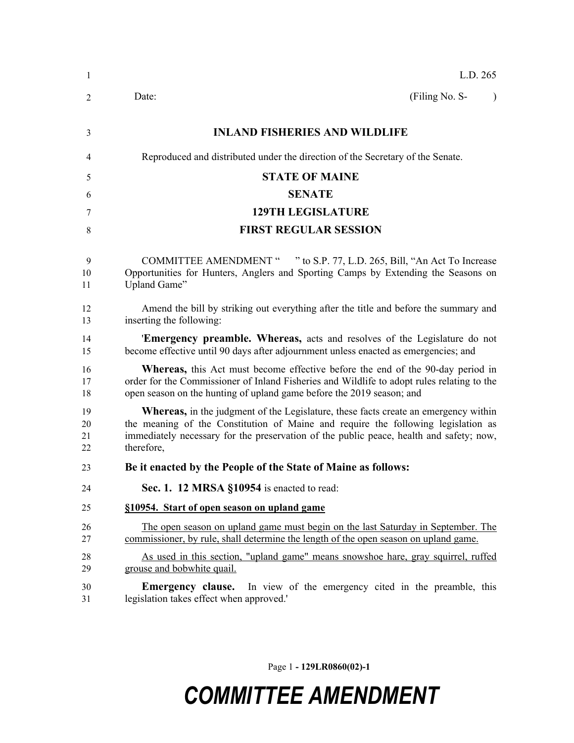| -1                   | L.D. 265                                                                                                                                                                                                                                                                                 |
|----------------------|------------------------------------------------------------------------------------------------------------------------------------------------------------------------------------------------------------------------------------------------------------------------------------------|
| 2                    | (Filing No. S-<br>Date:<br>$\lambda$                                                                                                                                                                                                                                                     |
| 3                    | <b>INLAND FISHERIES AND WILDLIFE</b>                                                                                                                                                                                                                                                     |
| 4                    | Reproduced and distributed under the direction of the Secretary of the Senate.                                                                                                                                                                                                           |
| 5                    | <b>STATE OF MAINE</b>                                                                                                                                                                                                                                                                    |
| 6                    | <b>SENATE</b>                                                                                                                                                                                                                                                                            |
| 7                    | <b>129TH LEGISLATURE</b>                                                                                                                                                                                                                                                                 |
| 8                    | <b>FIRST REGULAR SESSION</b>                                                                                                                                                                                                                                                             |
| 9<br>10<br>11        | <b>COMMITTEE AMENDMENT "</b><br>" to S.P. 77, L.D. 265, Bill, "An Act To Increase"<br>Opportunities for Hunters, Anglers and Sporting Camps by Extending the Seasons on<br>Upland Game"                                                                                                  |
| 12<br>13             | Amend the bill by striking out everything after the title and before the summary and<br>inserting the following:                                                                                                                                                                         |
| 14<br>15             | <b>Emergency preamble. Whereas,</b> acts and resolves of the Legislature do not<br>become effective until 90 days after adjournment unless enacted as emergencies; and                                                                                                                   |
| 16<br>17<br>18       | <b>Whereas</b> , this Act must become effective before the end of the 90-day period in<br>order for the Commissioner of Inland Fisheries and Wildlife to adopt rules relating to the<br>open season on the hunting of upland game before the 2019 season; and                            |
| 19<br>20<br>21<br>22 | <b>Whereas,</b> in the judgment of the Legislature, these facts create an emergency within<br>the meaning of the Constitution of Maine and require the following legislation as<br>immediately necessary for the preservation of the public peace, health and safety; now,<br>therefore, |
| 23                   | Be it enacted by the People of the State of Maine as follows:                                                                                                                                                                                                                            |
| 24                   | Sec. 1. 12 MRSA §10954 is enacted to read:                                                                                                                                                                                                                                               |
| 25                   | §10954. Start of open season on upland game                                                                                                                                                                                                                                              |
| 26<br>27             | The open season on upland game must begin on the last Saturday in September. The<br>commissioner, by rule, shall determine the length of the open season on upland game.                                                                                                                 |
| 28<br>29             | As used in this section, "upland game" means snowshoe hare, gray squirrel, ruffed<br>grouse and bobwhite quail.                                                                                                                                                                          |
| 30<br>31             | In view of the emergency cited in the preamble, this<br>Emergency clause.<br>legislation takes effect when approved.                                                                                                                                                                     |

Page 1 **- 129LR0860(02)-1**

## *COMMITTEE AMENDMENT*